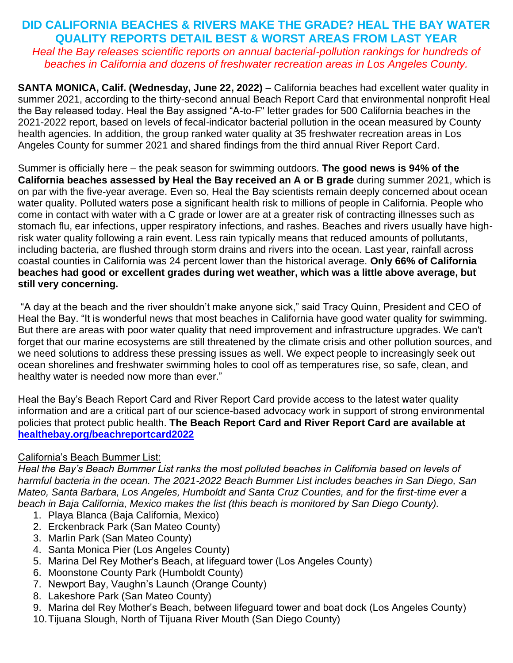### **DID CALIFORNIA BEACHES & RIVERS MAKE THE GRADE? HEAL THE BAY WATER QUALITY REPORTS DETAIL BEST & WORST AREAS FROM LAST YEAR** *Heal the Bay releases scientific reports on annual bacterial-pollution rankings for hundreds of beaches in California and dozens of freshwater recreation areas in Los Angeles County.*

**SANTA MONICA, Calif. (Wednesday, June 22, 2022)** – California beaches had excellent water quality in summer 2021, according to the thirty-second annual Beach Report Card that environmental nonprofit Heal the Bay released today. Heal the Bay assigned "A-to-F" letter grades for 500 California beaches in the 2021-2022 report, based on levels of fecal-indicator bacterial pollution in the ocean measured by County health agencies. In addition, the group ranked water quality at 35 freshwater recreation areas in Los Angeles County for summer 2021 and shared findings from the third annual River Report Card.

Summer is officially here – the peak season for swimming outdoors. **The good news is 94% of the California beaches assessed by Heal the Bay received an A or B grade** during summer 2021, which is on par with the five-year average. Even so, Heal the Bay scientists remain deeply concerned about ocean water quality. Polluted waters pose a significant health risk to millions of people in California. People who come in contact with water with a C grade or lower are at a greater risk of contracting illnesses such as stomach flu, ear infections, upper respiratory infections, and rashes. Beaches and rivers usually have highrisk water quality following a rain event. Less rain typically means that reduced amounts of pollutants, including bacteria, are flushed through storm drains and rivers into the ocean. Last year, rainfall across coastal counties in California was 24 percent lower than the historical average. **Only 66% of California beaches had good or excellent grades during wet weather, which was a little above average, but still very concerning.** 

"A day at the beach and the river shouldn't make anyone sick," said Tracy Quinn, President and CEO of Heal the Bay. "It is wonderful news that most beaches in California have good water quality for swimming. But there are areas with poor water quality that need improvement and infrastructure upgrades. We can't forget that our marine ecosystems are still threatened by the climate crisis and other pollution sources, and we need solutions to address these pressing issues as well. We expect people to increasingly seek out ocean shorelines and freshwater swimming holes to cool off as temperatures rise, so safe, clean, and healthy water is needed now more than ever."

Heal the Bay's Beach Report Card and River Report Card provide access to the latest water quality information and are a critical part of our science-based advocacy work in support of strong environmental policies that protect public health. **The Beach Report Card and River Report Card are available at [healthebay.org/beachreportcard2022](http://healthebay.org/beachreportcard2022)**

### California's Beach Bummer List:

*Heal the Bay's Beach Bummer List ranks the most polluted beaches in California based on levels of harmful bacteria in the ocean. The 2021-2022 Beach Bummer List includes beaches in San Diego, San Mateo, Santa Barbara, Los Angeles, Humboldt and Santa Cruz Counties, and for the first-time ever a beach in Baja California, Mexico makes the list (this beach is monitored by San Diego County).*

- 1. Playa Blanca (Baja California, Mexico)
- 2. Erckenbrack Park (San Mateo County)
- 3. Marlin Park (San Mateo County)
- 4. Santa Monica Pier (Los Angeles County)
- 5. Marina Del Rey Mother's Beach, at lifeguard tower (Los Angeles County)
- 6. Moonstone County Park (Humboldt County)
- 7. Newport Bay, Vaughn's Launch (Orange County)
- 8. Lakeshore Park (San Mateo County)
- 9. Marina del Rey Mother's Beach, between lifeguard tower and boat dock (Los Angeles County)
- 10.Tijuana Slough, North of Tijuana River Mouth (San Diego County)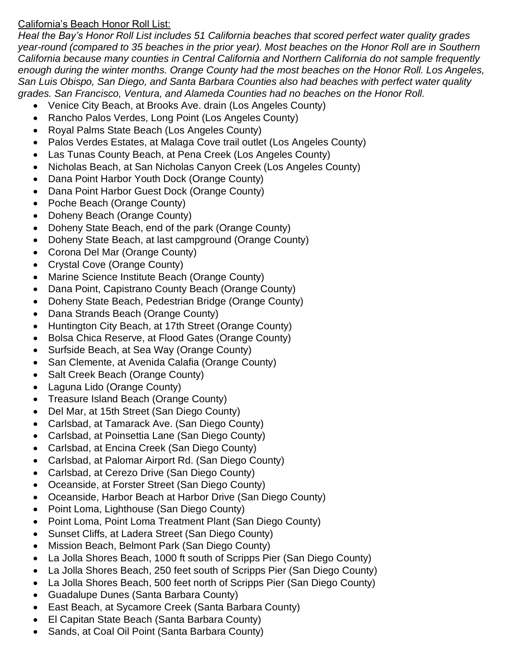### California's Beach Honor Roll List:

*Heal the Bay's Honor Roll List includes 51 California beaches that scored perfect water quality grades year-round (compared to 35 beaches in the prior year). Most beaches on the Honor Roll are in Southern California because many counties in Central California and Northern California do not sample frequently enough during the winter months. Orange County had the most beaches on the Honor Roll. Los Angeles, San Luis Obispo, San Diego, and Santa Barbara Counties also had beaches with perfect water quality grades. San Francisco, Ventura, and Alameda Counties had no beaches on the Honor Roll.* 

- Venice City Beach, at Brooks Ave. drain (Los Angeles County)
- Rancho Palos Verdes, Long Point (Los Angeles County)
- Royal Palms State Beach (Los Angeles County)
- Palos Verdes Estates, at Malaga Cove trail outlet (Los Angeles County)
- Las Tunas County Beach, at Pena Creek (Los Angeles County)
- Nicholas Beach, at San Nicholas Canyon Creek (Los Angeles County)
- Dana Point Harbor Youth Dock (Orange County)
- Dana Point Harbor Guest Dock (Orange County)
- Poche Beach (Orange County)
- Doheny Beach (Orange County)
- Doheny State Beach, end of the park (Orange County)
- Doheny State Beach, at last campground (Orange County)
- Corona Del Mar (Orange County)
- Crystal Cove (Orange County)
- Marine Science Institute Beach (Orange County)
- Dana Point, Capistrano County Beach (Orange County)
- Doheny State Beach, Pedestrian Bridge (Orange County)
- Dana Strands Beach (Orange County)
- Huntington City Beach, at 17th Street (Orange County)
- Bolsa Chica Reserve, at Flood Gates (Orange County)
- Surfside Beach, at Sea Way (Orange County)
- San Clemente, at Avenida Calafia (Orange County)
- Salt Creek Beach (Orange County)
- Laguna Lido (Orange County)
- Treasure Island Beach (Orange County)
- Del Mar, at 15th Street (San Diego County)
- Carlsbad, at Tamarack Ave. (San Diego County)
- Carlsbad, at Poinsettia Lane (San Diego County)
- Carlsbad, at Encina Creek (San Diego County)
- Carlsbad, at Palomar Airport Rd. (San Diego County)
- Carlsbad, at Cerezo Drive (San Diego County)
- Oceanside, at Forster Street (San Diego County)
- Oceanside, Harbor Beach at Harbor Drive (San Diego County)
- Point Loma, Lighthouse (San Diego County)
- Point Loma, Point Loma Treatment Plant (San Diego County)
- Sunset Cliffs, at Ladera Street (San Diego County)
- Mission Beach, Belmont Park (San Diego County)
- La Jolla Shores Beach, 1000 ft south of Scripps Pier (San Diego County)
- La Jolla Shores Beach, 250 feet south of Scripps Pier (San Diego County)
- La Jolla Shores Beach, 500 feet north of Scripps Pier (San Diego County)
- Guadalupe Dunes (Santa Barbara County)
- East Beach, at Sycamore Creek (Santa Barbara County)
- El Capitan State Beach (Santa Barbara County)
- Sands, at Coal Oil Point (Santa Barbara County)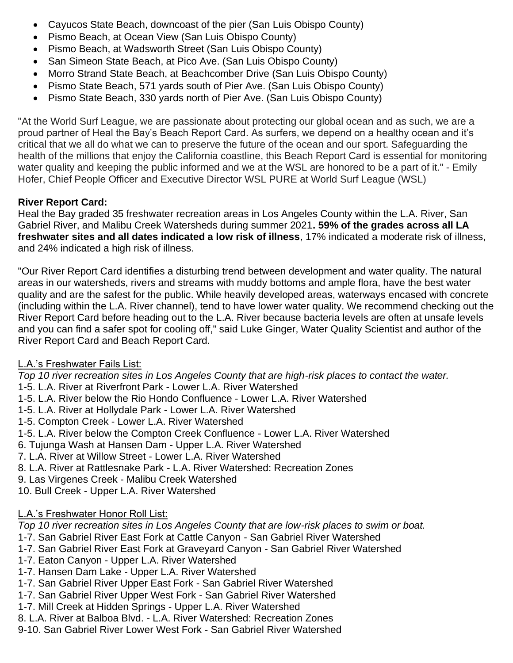- Cayucos State Beach, downcoast of the pier (San Luis Obispo County)
- Pismo Beach, at Ocean View (San Luis Obispo County)
- Pismo Beach, at Wadsworth Street (San Luis Obispo County)
- San Simeon State Beach, at Pico Ave. (San Luis Obispo County)
- Morro Strand State Beach, at Beachcomber Drive (San Luis Obispo County)
- Pismo State Beach, 571 yards south of Pier Ave. (San Luis Obispo County)
- Pismo State Beach, 330 yards north of Pier Ave. (San Luis Obispo County)

"At the World Surf League, we are passionate about protecting our global ocean and as such, we are a proud partner of Heal the Bay's Beach Report Card. As surfers, we depend on a healthy ocean and it's critical that we all do what we can to preserve the future of the ocean and our sport. Safeguarding the health of the millions that enjoy the California coastline, this Beach Report Card is essential for monitoring water quality and keeping the public informed and we at the WSL are honored to be a part of it." - Emily Hofer, Chief People Officer and Executive Director WSL PURE at World Surf League (WSL)

## **River Report Card:**

Heal the Bay graded 35 freshwater recreation areas in Los Angeles County within the L.A. River, San Gabriel River, and Malibu Creek Watersheds during summer 2021**. 59% of the grades across all LA freshwater sites and all dates indicated a low risk of illness**, 17% indicated a moderate risk of illness, and 24% indicated a high risk of illness.

"Our River Report Card identifies a disturbing trend between development and water quality. The natural areas in our watersheds, rivers and streams with muddy bottoms and ample flora, have the best water quality and are the safest for the public. While heavily developed areas, waterways encased with concrete (including within the L.A. River channel), tend to have lower water quality. We recommend checking out the River Report Card before heading out to the L.A. River because bacteria levels are often at unsafe levels and you can find a safer spot for cooling off," said Luke Ginger, Water Quality Scientist and author of the River Report Card and Beach Report Card.

## L.A.'s Freshwater Fails List:

*Top 10 river recreation sites in Los Angeles County that are high-risk places to contact the water.*

- 1-5. L.A. River at Riverfront Park Lower L.A. River Watershed
- 1-5. L.A. River below the Rio Hondo Confluence Lower L.A. River Watershed
- 1-5. L.A. River at Hollydale Park Lower L.A. River Watershed
- 1-5. Compton Creek Lower L.A. River Watershed
- 1-5. L.A. River below the Compton Creek Confluence Lower L.A. River Watershed
- 6. Tujunga Wash at Hansen Dam Upper L.A. River Watershed
- 7. L.A. River at Willow Street Lower L.A. River Watershed
- 8. L.A. River at Rattlesnake Park L.A. River Watershed: Recreation Zones
- 9. Las Virgenes Creek Malibu Creek Watershed

10. Bull Creek - Upper L.A. River Watershed

# L.A.'s Freshwater Honor Roll List:

*Top 10 river recreation sites in Los Angeles County that are low-risk places to swim or boat.* 

- 1-7. San Gabriel River East Fork at Cattle Canyon San Gabriel River Watershed
- 1-7. San Gabriel River East Fork at Graveyard Canyon San Gabriel River Watershed
- 1-7. Eaton Canyon Upper L.A. River Watershed
- 1-7. Hansen Dam Lake Upper L.A. River Watershed
- 1-7. San Gabriel River Upper East Fork San Gabriel River Watershed
- 1-7. San Gabriel River Upper West Fork San Gabriel River Watershed
- 1-7. Mill Creek at Hidden Springs Upper L.A. River Watershed
- 8. L.A. River at Balboa Blvd. L.A. River Watershed: Recreation Zones
- 9-10. San Gabriel River Lower West Fork San Gabriel River Watershed